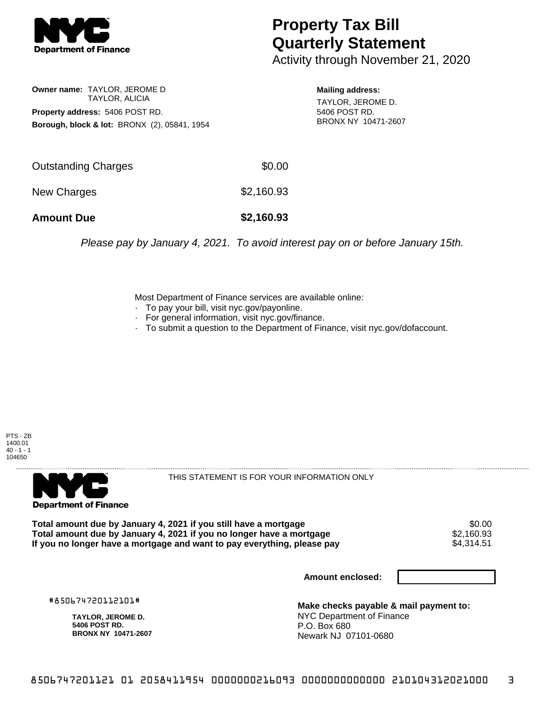

# **Property Tax Bill Quarterly Statement**

Activity through November 21, 2020

### **Owner name:** TAYLOR, JEROME D TAYLOR, ALICIA **Property address:** 5406 POST RD. **Borough, block & lot:** BRONX (2), 05841, 1954

#### **Mailing address:**

TAYLOR, JEROME D. 5406 POST RD. BRONX NY 10471-2607

| <b>Amount Due</b>   | \$2,160.93 |
|---------------------|------------|
| New Charges         | \$2,160.93 |
| Outstanding Charges | \$0.00     |

Please pay by January 4, 2021. To avoid interest pay on or before January 15th.

Most Department of Finance services are available online:

- · To pay your bill, visit nyc.gov/payonline.
- For general information, visit nyc.gov/finance.
- · To submit a question to the Department of Finance, visit nyc.gov/dofaccount.





THIS STATEMENT IS FOR YOUR INFORMATION ONLY

Total amount due by January 4, 2021 if you still have a mortgage \$0.00<br>Total amount due by January 4, 2021 if you no longer have a mortgage \$2.160.93 **Total amount due by January 4, 2021 if you no longer have a mortgage**  $$2,160.93$ **<br>If you no longer have a mortgage and want to pay everything, please pay**  $$4,314.51$ If you no longer have a mortgage and want to pay everything, please pay

**Amount enclosed:**

#850674720112101#

**TAYLOR, JEROME D. 5406 POST RD. BRONX NY 10471-2607**

**Make checks payable & mail payment to:** NYC Department of Finance P.O. Box 680 Newark NJ 07101-0680